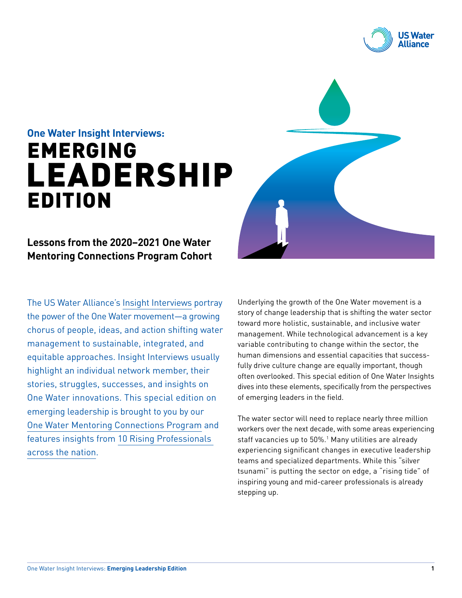

# **One Water Insight Interviews:** EMERGING LEADERSHIP EDITION

## **Lessons from the 2020–2021 One Water Mentoring Connections Program Cohort**

The US Water Alliance's [Insight Interviews](http://www.uswateralliance.org/one-water/insight-interviews) portray the power of the One Water movement—a growing chorus of people, ideas, and action shifting water management to sustainable, integrated, and equitable approaches. Insight Interviews usually highlight an individual network member, their stories, struggles, successes, and insights on One Water innovations. This special edition on emerging leadership is brought to you by our [One Water Mentoring Connections Program](http://uswateralliance.org/about/mentoring-connections-program) and features insights from [10 Rising Professionals](http://uswateralliance.org/one-water/meet-fall-2020-rising-professionals-cohort)  [across the nation](http://uswateralliance.org/one-water/meet-fall-2020-rising-professionals-cohort).

Underlying the growth of the One Water movement is a story of change leadership that is shifting the water sector toward more holistic, sustainable, and inclusive water management. While technological advancement is a key variable contributing to change within the sector, the human dimensions and essential capacities that successfully drive culture change are equally important, though often overlooked. This special edition of One Water Insights dives into these elements, specifically from the perspectives of emerging leaders in the field.

The water sector will need to replace nearly three million workers over the next decade, with some areas experiencing staff vacancies up to 50%.1 Many utilities are already experiencing significant changes in executive leadership teams and specialized departments. While this "silver tsunami" is putting the sector on edge, a "rising tide" of inspiring young and mid-career professionals is already stepping up.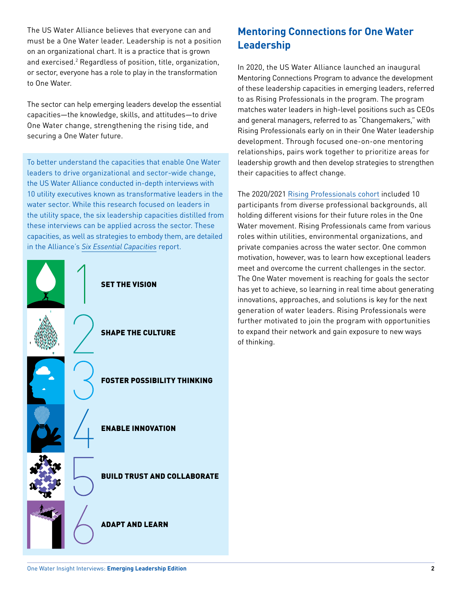The US Water Alliance believes that everyone can and must be a One Water leader. Leadership is not a position on an organizational chart. It is a practice that is grown and exercised.<sup>2</sup> Regardless of position, title, organization, or sector, everyone has a role to play in the transformation to One Water.

The sector can help emerging leaders develop the essential capacities—the knowledge, skills, and attitudes—to drive One Water change, strengthening the rising tide, and securing a One Water future.

To better understand the capacities that enable One Water leaders to drive organizational and sector-wide change, the US Water Alliance conducted in-depth interviews with 10 utility executives known as transformative leaders in the water sector. While this research focused on leaders in the utility space, the six leadership capacities distilled from these interviews can be applied across the sector. These capacities, as well as strategies to embody them, are detailed in the Alliance's *[Six Essential Capacities](http://uswateralliance.org/sites/uswateralliance.org/files/publications/uswa_leadership_report_FINAL_0.pdf)* report.



# **Mentoring Connections for One Water Leadership**

In 2020, the US Water Alliance launched an inaugural Mentoring Connections Program to advance the development of these leadership capacities in emerging leaders, referred to as Rising Professionals in the program. The program matches water leaders in high-level positions such as CEOs and general managers, referred to as "Changemakers," with Rising Professionals early on in their One Water leadership development. Through focused one-on-one mentoring relationships, pairs work together to prioritize areas for leadership growth and then develop strategies to strengthen their capacities to affect change.

The 2020/2021 [Rising Professionals cohort](http://uswateralliance.org/one-water/meet-fall-2020-rising-professionals-cohort) included 10 participants from diverse professional backgrounds, all holding different visions for their future roles in the One Water movement. Rising Professionals came from various roles within utilities, environmental organizations, and private companies across the water sector. One common motivation, however, was to learn how exceptional leaders meet and overcome the current challenges in the sector. The One Water movement is reaching for goals the sector has yet to achieve, so learning in real time about generating innovations, approaches, and solutions is key for the next generation of water leaders. Rising Professionals were further motivated to join the program with opportunities to expand their network and gain exposure to new ways of thinking.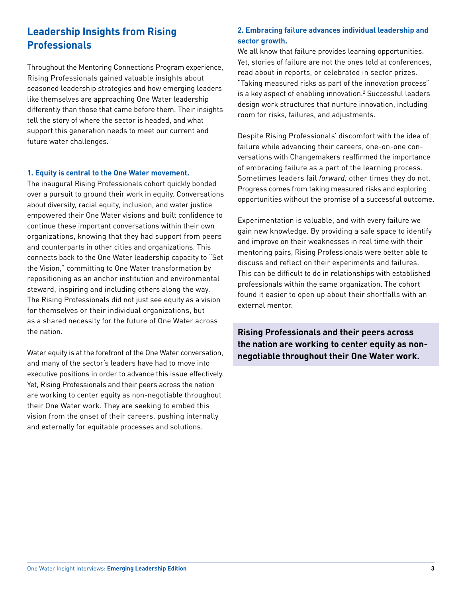# **Leadership Insights from Rising Professionals**

Throughout the Mentoring Connections Program experience, Rising Professionals gained valuable insights about seasoned leadership strategies and how emerging leaders like themselves are approaching One Water leadership differently than those that came before them. Their insights tell the story of where the sector is headed, and what support this generation needs to meet our current and future water challenges.

#### **1. Equity is central to the One Water movement.**

The inaugural Rising Professionals cohort quickly bonded over a pursuit to ground their work in equity. Conversations about diversity, racial equity, inclusion, and water justice empowered their One Water visions and built confidence to continue these important conversations within their own organizations, knowing that they had support from peers and counterparts in other cities and organizations. This connects back to the One Water leadership capacity to "Set the Vision," committing to One Water transformation by repositioning as an anchor institution and environmental steward, inspiring and including others along the way. The Rising Professionals did not just see equity as a vision for themselves or their individual organizations, but as a shared necessity for the future of One Water across the nation.

Water equity is at the forefront of the One Water conversation, and many of the sector's leaders have had to move into executive positions in order to advance this issue effectively. Yet, Rising Professionals and their peers across the nation are working to center equity as non-negotiable throughout their One Water work. They are seeking to embed this vision from the onset of their careers, pushing internally and externally for equitable processes and solutions.

## **2. Embracing failure advances individual leadership and sector growth.**

We all know that failure provides learning opportunities. Yet, stories of failure are not the ones told at conferences, read about in reports, or celebrated in sector prizes. "Taking measured risks as part of the innovation process" is a key aspect of enabling innovation.2 Successful leaders design work structures that nurture innovation, including room for risks, failures, and adjustments.

Despite Rising Professionals' discomfort with the idea of failure while advancing their careers, one-on-one conversations with Changemakers reaffirmed the importance of embracing failure as a part of the learning process. Sometimes leaders fail *forward;* other times they do not. Progress comes from taking measured risks and exploring opportunities without the promise of a successful outcome.

Experimentation is valuable, and with every failure we gain new knowledge. By providing a safe space to identify and improve on their weaknesses in real time with their mentoring pairs, Rising Professionals were better able to discuss and reflect on their experiments and failures. This can be difficult to do in relationships with established professionals within the same organization. The cohort found it easier to open up about their shortfalls with an external mentor.

**Rising Professionals and their peers across the nation are working to center equity as nonnegotiable throughout their One Water work.**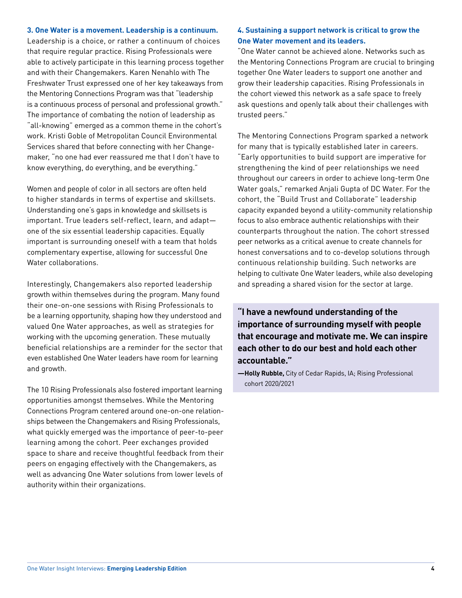#### **3. One Water is a movement. Leadership is a continuum.**

Leadership is a choice, or rather a continuum of choices that require regular practice. Rising Professionals were able to actively participate in this learning process together and with their Changemakers. Karen Nenahlo with The Freshwater Trust expressed one of her key takeaways from the Mentoring Connections Program was that "leadership is a continuous process of personal and professional growth." The importance of combating the notion of leadership as "all-knowing" emerged as a common theme in the cohort's work. Kristi Goble of Metropolitan Council Environmental Services shared that before connecting with her Changemaker, "no one had ever reassured me that I don't have to know everything, do everything, and be everything."

Women and people of color in all sectors are often held to higher standards in terms of expertise and skillsets. Understanding one's gaps in knowledge and skillsets is important. True leaders self-reflect, learn, and adapt one of the six essential leadership capacities. Equally important is surrounding oneself with a team that holds complementary expertise, allowing for successful One Water collaborations.

Interestingly, Changemakers also reported leadership growth within themselves during the program. Many found their one-on-one sessions with Rising Professionals to be a learning opportunity, shaping how they understood and valued One Water approaches, as well as strategies for working with the upcoming generation. These mutually beneficial relationships are a reminder for the sector that even established One Water leaders have room for learning and growth.

The 10 Rising Professionals also fostered important learning opportunities amongst themselves. While the Mentoring Connections Program centered around one-on-one relationships between the Changemakers and Rising Professionals, what quickly emerged was the importance of peer-to-peer learning among the cohort. Peer exchanges provided space to share and receive thoughtful feedback from their peers on engaging effectively with the Changemakers, as well as advancing One Water solutions from lower levels of authority within their organizations.

#### **4. Sustaining a support network is critical to grow the One Water movement and its leaders.**

"One Water cannot be achieved alone. Networks such as the Mentoring Connections Program are crucial to bringing together One Water leaders to support one another and grow their leadership capacities. Rising Professionals in the cohort viewed this network as a safe space to freely ask questions and openly talk about their challenges with trusted peers."

The Mentoring Connections Program sparked a network for many that is typically established later in careers. "Early opportunities to build support are imperative for strengthening the kind of peer relationships we need throughout our careers in order to achieve long-term One Water goals," remarked Anjali Gupta of DC Water. For the cohort, the "Build Trust and Collaborate" leadership capacity expanded beyond a utility-community relationship focus to also embrace authentic relationships with their counterparts throughout the nation. The cohort stressed peer networks as a critical avenue to create channels for honest conversations and to co-develop solutions through continuous relationship building. Such networks are helping to cultivate One Water leaders, while also developing and spreading a shared vision for the sector at large.

**"I have a newfound understanding of the importance of surrounding myself with people that encourage and motivate me. We can inspire each other to do our best and hold each other accountable."**

**—Holly Rubble,** City of Cedar Rapids, IA; Rising Professional cohort 2020/2021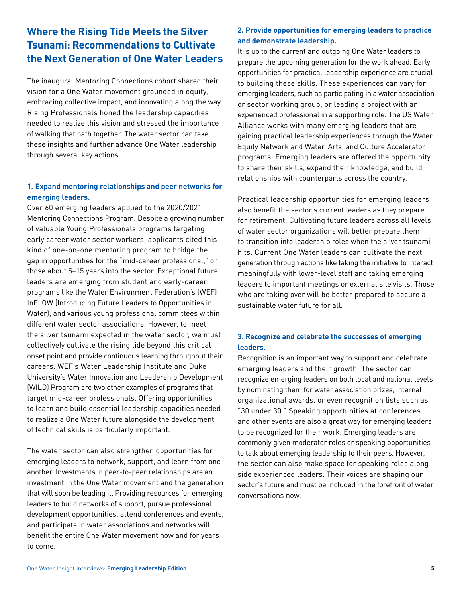# **Where the Rising Tide Meets the Silver Tsunami: Recommendations to Cultivate the Next Generation of One Water Leaders**

The inaugural Mentoring Connections cohort shared their vision for a One Water movement grounded in equity, embracing collective impact, and innovating along the way. Rising Professionals honed the leadership capacities needed to realize this vision and stressed the importance of walking that path together. The water sector can take these insights and further advance One Water leadership through several key actions.

## **1. Expand mentoring relationships and peer networks for emerging leaders.**

Over 60 emerging leaders applied to the 2020/2021 Mentoring Connections Program. Despite a growing number of valuable Young Professionals programs targeting early career water sector workers, applicants cited this kind of one-on-one mentoring program to bridge the gap in opportunities for the "mid-career professional," or those about 5–15 years into the sector. Exceptional future leaders are emerging from student and early-career programs like the Water Environment Federation's (WEF) InFLOW (Introducing Future Leaders to Opportunities in Water), and various young professional committees within different water sector associations. However, to meet the silver tsunami expected in the water sector, we must collectively cultivate the rising tide beyond this critical onset point and provide continuous learning throughout their careers. WEF's Water Leadership Institute and Duke University's Water Innovation and Leadership Development (WILD) Program are two other examples of programs that target mid-career professionals. Offering opportunities to learn and build essential leadership capacities needed to realize a One Water future alongside the development of technical skills is particularly important.

The water sector can also strengthen opportunities for emerging leaders to network, support, and learn from one another. Investments in peer-to-peer relationships are an investment in the One Water movement and the generation that will soon be leading it. Providing resources for emerging leaders to build networks of support, pursue professional development opportunities, attend conferences and events, and participate in water associations and networks will benefit the entire One Water movement now and for years to come.

## **2. Provide opportunities for emerging leaders to practice and demonstrate leadership.**

It is up to the current and outgoing One Water leaders to prepare the upcoming generation for the work ahead. Early opportunities for practical leadership experience are crucial to building these skills. These experiences can vary for emerging leaders, such as participating in a water association or sector working group, or leading a project with an experienced professional in a supporting role. The US Water Alliance works with many emerging leaders that are gaining practical leadership experiences through the Water Equity Network and Water, Arts, and Culture Accelerator programs. Emerging leaders are offered the opportunity to share their skills, expand their knowledge, and build relationships with counterparts across the country.

Practical leadership opportunities for emerging leaders also benefit the sector's current leaders as they prepare for retirement. Cultivating future leaders across all levels of water sector organizations will better prepare them to transition into leadership roles when the silver tsunami hits. Current One Water leaders can cultivate the next generation through actions like taking the initiative to interact meaningfully with lower-level staff and taking emerging leaders to important meetings or external site visits. Those who are taking over will be better prepared to secure a sustainable water future for all.

#### **3. Recognize and celebrate the successes of emerging leaders.**

Recognition is an important way to support and celebrate emerging leaders and their growth. The sector can recognize emerging leaders on both local and national levels by nominating them for water association prizes, internal organizational awards, or even recognition lists such as "30 under 30." Speaking opportunities at conferences and other events are also a great way for emerging leaders to be recognized for their work. Emerging leaders are commonly given moderator roles or speaking opportunities to talk about emerging leadership to their peers. However, the sector can also make space for speaking roles alongside experienced leaders. Their voices are shaping our sector's future and must be included in the forefront of water conversations now.